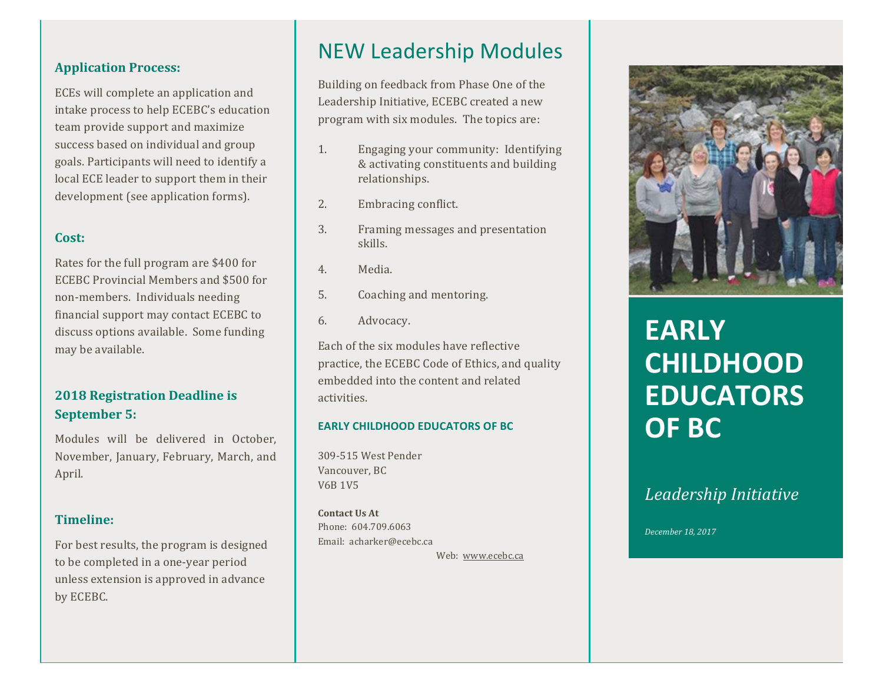### **Application Process:**

ECEs will complete an application and intake process to help ECEBC's education team provide support and maximize success based on individual and group goals. Participants will need to identify a local ECE leader to support them in their development (see application forms).

## **Cost:**

Rates for the full program are \$400 for ECEBC Provincial Members and \$500 for non-members. Individuals needing financial support may contact ECEBC to discuss options available. Some funding may be available.

# **2018 Registration Deadline is September 5:**

Modules will be delivered in October, November, January, February, March, and April.

## **Timeline:**

For best results, the program is designed to be completed in a one-year period unless extension is approved in advance by ECEBC.

# NEW Leadership Modules

Building on feedback from Phase One of the Leadership Initiative, ECEBC created a new program with six modules. The topics are:

- 1. Engaging your community: Identifying & activating constituents and building relationships.
- 2. Embracing conflict.
- 3. Framing messages and presentation skills.
- 4. Media.
- 5. Coaching and mentoring.
- 6. Advocacy.

Each of the six modules have reflective practice, the ECEBC Code of Ethics, and quality embedded into the content and related activities.

### **EARLY CHILDHOOD EDUCATORS OF BC**

309-515 West Pender Vancouver, BC V6B 1V5

**Contact Us At** Phone: 604.709.6063 Email: acharker@ecebc.ca Web: www.ecebc.ca



# **EARLY CHILDHOOD EDUCATORS OF BC**

# *Leadership Initiative*

*December 18, 2017*